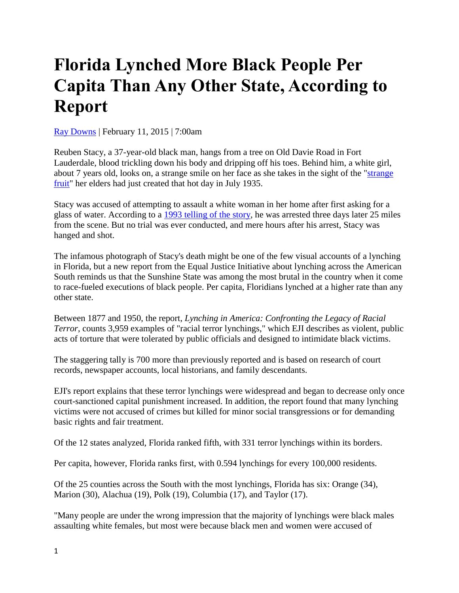## **Florida Lynched More Black People Per Capita Than Any Other State, According to Report**

[Ray Downs](https://www.browardpalmbeach.com/authors/ray-downs-6384977) | February 11, 2015 | 7:00am

Reuben Stacy, a 37-year-old black man, hangs from a tree on Old Davie Road in Fort Lauderdale, blood trickling down his body and dripping off his toes. Behind him, a white girl, about 7 years old, looks on, a strange smile on her face as she takes in the sight of the ["strange](https://www.youtube.com/watch?v=h4ZyuULy9zs)  [fruit"](https://www.youtube.com/watch?v=h4ZyuULy9zs) her elders had just created that hot day in July 1935.

Stacy was accused of attempting to assault a white woman in her home after first asking for a glass of water. According to a [1993 telling of the story,](http://articles.sun-sentinel.com/1988-07-17/features/8802110707_1_black-man-lynching-pine-tree) he was arrested three days later 25 miles from the scene. But no trial was ever conducted, and mere hours after his arrest, Stacy was hanged and shot.

The infamous photograph of Stacy's death might be one of the few visual accounts of a lynching in Florida, but a new report from the Equal Justice Initiative about lynching across the American South reminds us that the Sunshine State was among the most brutal in the country when it come to race-fueled executions of black people. Per capita, Floridians lynched at a higher rate than any other state.

Between 1877 and 1950, the report, *Lynching in America: Confronting the Legacy of Racial Terror*, counts 3,959 examples of "racial terror lynchings," which EJI describes as violent, public acts of torture that were tolerated by public officials and designed to intimidate black victims.

The staggering tally is 700 more than previously reported and is based on research of court records, newspaper accounts, local historians, and family descendants.

EJI's report explains that these terror lynchings were widespread and began to decrease only once court-sanctioned capital punishment increased. In addition, the report found that many lynching victims were not accused of crimes but killed for minor social transgressions or for demanding basic rights and fair treatment.

Of the 12 states analyzed, Florida ranked fifth, with 331 terror lynchings within its borders.

Per capita, however, Florida ranks first, with 0.594 lynchings for every 100,000 residents.

Of the 25 counties across the South with the most lynchings, Florida has six: Orange (34), Marion (30), Alachua (19), Polk (19), Columbia (17), and Taylor (17).

"Many people are under the wrong impression that the majority of lynchings were black males assaulting white females, but most were because black men and women were accused of